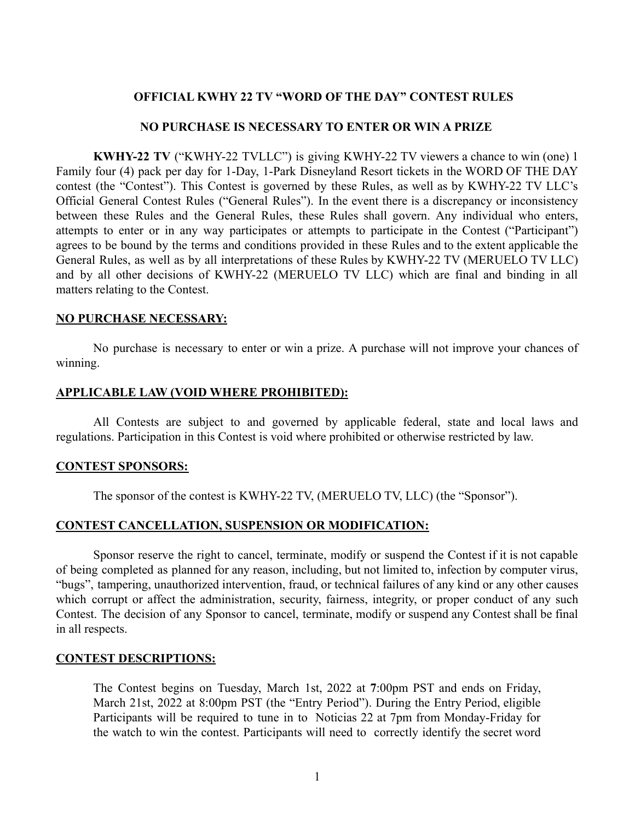# **OFFICIAL KWHY 22 TV "WORD OF THE DAY" CONTEST RULES**

### **NO PURCHASE IS NECESSARY TO ENTER OR WIN A PRIZE**

**KWHY-22 TV** ("KWHY-22 TVLLC") is giving KWHY-22 TV viewers a chance to win (one) 1 Family four (4) pack per day for 1-Day, 1-Park Disneyland Resort tickets in the WORD OF THE DAY contest (the "Contest"). This Contest is governed by these Rules, as well as by KWHY-22 TV LLC's Official General Contest Rules ("General Rules"). In the event there is a discrepancy or inconsistency between these Rules and the General Rules, these Rules shall govern. Any individual who enters, attempts to enter or in any way participates or attempts to participate in the Contest ("Participant") agrees to be bound by the terms and conditions provided in these Rules and to the extent applicable the General Rules, as well as by all interpretations of these Rules by KWHY-22 TV (MERUELO TV LLC) and by all other decisions of KWHY-22 (MERUELO TV LLC) which are final and binding in all matters relating to the Contest.

## **NO PURCHASE NECESSARY:**

No purchase is necessary to enter or win a prize. A purchase will not improve your chances of winning.

## **APPLICABLE LAW (VOID WHERE PROHIBITED):**

All Contests are subject to and governed by applicable federal, state and local laws and regulations. Participation in this Contest is void where prohibited or otherwise restricted by law.

### **CONTEST SPONSORS:**

The sponsor of the contest is KWHY-22 TV, (MERUELO TV, LLC) (the "Sponsor").

## **CONTEST CANCELLATION, SUSPENSION OR MODIFICATION:**

Sponsor reserve the right to cancel, terminate, modify or suspend the Contest if it is not capable of being completed as planned for any reason, including, but not limited to, infection by computer virus, "bugs", tampering, unauthorized intervention, fraud, or technical failures of any kind or any other causes which corrupt or affect the administration, security, fairness, integrity, or proper conduct of any such Contest. The decision of any Sponsor to cancel, terminate, modify or suspend any Contest shall be final in all respects.

### **CONTEST DESCRIPTIONS:**

The Contest begins on Tuesday, March 1st, 2022 at **7**:00pm PST and ends on Friday, March 21st, 2022 at 8:00pm PST (the "Entry Period"). During the Entry Period, eligible Participants will be required to tune in to Noticias 22 at 7pm from Monday-Friday for the watch to win the contest. Participants will need to correctly identify the secret word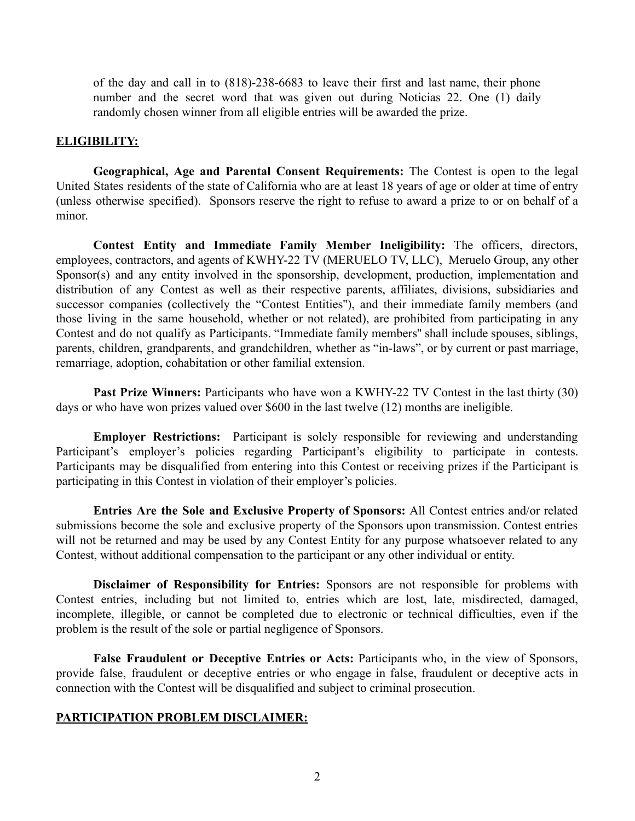of the day and call in to (818)-238-6683 to leave their first and last name, their phone number and the secret word that was given out during Noticias 22. One (1) daily randomly chosen winner from all eligible entries will be awarded the prize.

## **ELIGIBILITY:**

**Geographical, Age and Parental Consent Requirements:** The Contest is open to the legal United States residents of the state of California who are at least 18 years of age or older at time of entry (unless otherwise specified). Sponsors reserve the right to refuse to award a prize to or on behalf of a minor.

**Contest Entity and Immediate Family Member Ineligibility:** The officers, directors, employees, contractors, and agents of KWHY-22 TV (MERUELO TV, LLC), Meruelo Group, any other Sponsor(s) and any entity involved in the sponsorship, development, production, implementation and distribution of any Contest as well as their respective parents, affiliates, divisions, subsidiaries and successor companies (collectively the "Contest Entities''), and their immediate family members (and those living in the same household, whether or not related), are prohibited from participating in any Contest and do not qualify as Participants. "Immediate family members'' shall include spouses, siblings, parents, children, grandparents, and grandchildren, whether as "in-laws", or by current or past marriage, remarriage, adoption, cohabitation or other familial extension.

**Past Prize Winners:** Participants who have won a KWHY-22 TV Contest in the last thirty (30) days or who have won prizes valued over \$600 in the last twelve (12) months are ineligible.

**Employer Restrictions:** Participant is solely responsible for reviewing and understanding Participant's employer's policies regarding Participant's eligibility to participate in contests. Participants may be disqualified from entering into this Contest or receiving prizes if the Participant is participating in this Contest in violation of their employer's policies.

**Entries Are the Sole and Exclusive Property of Sponsors:** All Contest entries and/or related submissions become the sole and exclusive property of the Sponsors upon transmission. Contest entries will not be returned and may be used by any Contest Entity for any purpose whatsoever related to any Contest, without additional compensation to the participant or any other individual or entity.

**Disclaimer of Responsibility for Entries:** Sponsors are not responsible for problems with Contest entries, including but not limited to, entries which are lost, late, misdirected, damaged, incomplete, illegible, or cannot be completed due to electronic or technical difficulties, even if the problem is the result of the sole or partial negligence of Sponsors.

**False Fraudulent or Deceptive Entries or Acts:** Participants who, in the view of Sponsors, provide false, fraudulent or deceptive entries or who engage in false, fraudulent or deceptive acts in connection with the Contest will be disqualified and subject to criminal prosecution.

### **PARTICIPATION PROBLEM DISCLAIMER:**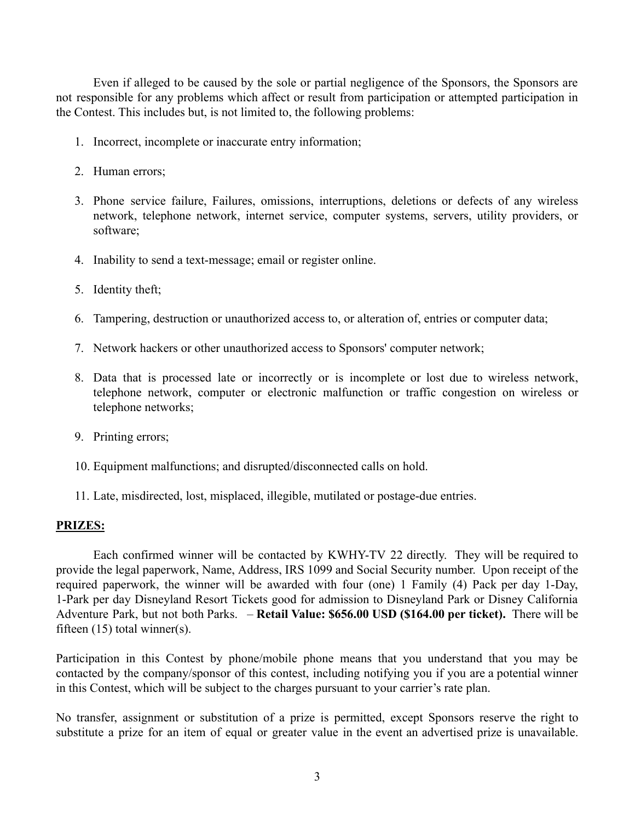Even if alleged to be caused by the sole or partial negligence of the Sponsors, the Sponsors are not responsible for any problems which affect or result from participation or attempted participation in the Contest. This includes but, is not limited to, the following problems:

- 1. Incorrect, incomplete or inaccurate entry information;
- 2. Human errors;
- 3. Phone service failure, Failures, omissions, interruptions, deletions or defects of any wireless network, telephone network, internet service, computer systems, servers, utility providers, or software;
- 4. Inability to send a text-message; email or register online.
- 5. Identity theft;
- 6. Tampering, destruction or unauthorized access to, or alteration of, entries or computer data;
- 7. Network hackers or other unauthorized access to Sponsors' computer network;
- 8. Data that is processed late or incorrectly or is incomplete or lost due to wireless network, telephone network, computer or electronic malfunction or traffic congestion on wireless or telephone networks;
- 9. Printing errors;
- 10. Equipment malfunctions; and disrupted/disconnected calls on hold.
- 11. Late, misdirected, lost, misplaced, illegible, mutilated or postage-due entries.

### **PRIZES:**

Each confirmed winner will be contacted by KWHY-TV 22 directly. They will be required to provide the legal paperwork, Name, Address, IRS 1099 and Social Security number. Upon receipt of the required paperwork, the winner will be awarded with four (one) 1 Family (4) Pack per day 1-Day, 1-Park per day Disneyland Resort Tickets good for admission to Disneyland Park or Disney California Adventure Park, but not both Parks. – **Retail Value: \$656.00 USD (\$164.00 per ticket).** There will be fifteen (15) total winner(s).

Participation in this Contest by phone/mobile phone means that you understand that you may be contacted by the company/sponsor of this contest, including notifying you if you are a potential winner in this Contest, which will be subject to the charges pursuant to your carrier's rate plan.

No transfer, assignment or substitution of a prize is permitted, except Sponsors reserve the right to substitute a prize for an item of equal or greater value in the event an advertised prize is unavailable.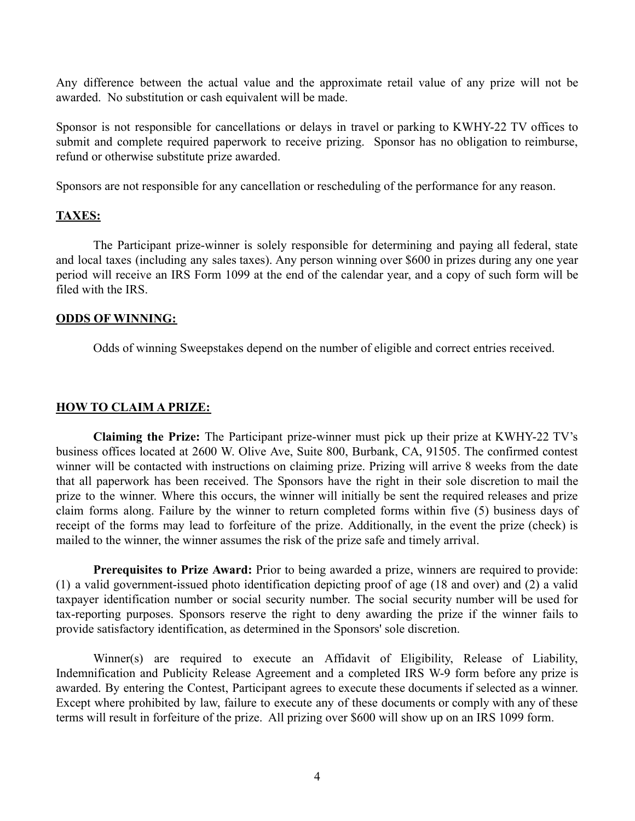Any difference between the actual value and the approximate retail value of any prize will not be awarded. No substitution or cash equivalent will be made.

Sponsor is not responsible for cancellations or delays in travel or parking to KWHY-22 TV offices to submit and complete required paperwork to receive prizing. Sponsor has no obligation to reimburse, refund or otherwise substitute prize awarded.

Sponsors are not responsible for any cancellation or rescheduling of the performance for any reason.

## **TAXES:**

The Participant prize-winner is solely responsible for determining and paying all federal, state and local taxes (including any sales taxes). Any person winning over \$600 in prizes during any one year period will receive an IRS Form 1099 at the end of the calendar year, and a copy of such form will be filed with the IRS.

## **ODDS OF WINNING:**

Odds of winning Sweepstakes depend on the number of eligible and correct entries received.

## **HOW TO CLAIM A PRIZE:**

**Claiming the Prize:** The Participant prize-winner must pick up their prize at KWHY-22 TV's business offices located at 2600 W. Olive Ave, Suite 800, Burbank, CA, 91505. The confirmed contest winner will be contacted with instructions on claiming prize. Prizing will arrive 8 weeks from the date that all paperwork has been received. The Sponsors have the right in their sole discretion to mail the prize to the winner. Where this occurs, the winner will initially be sent the required releases and prize claim forms along. Failure by the winner to return completed forms within five (5) business days of receipt of the forms may lead to forfeiture of the prize. Additionally, in the event the prize (check) is mailed to the winner, the winner assumes the risk of the prize safe and timely arrival.

**Prerequisites to Prize Award:** Prior to being awarded a prize, winners are required to provide: (1) a valid government-issued photo identification depicting proof of age (18 and over) and (2) a valid taxpayer identification number or social security number. The social security number will be used for tax-reporting purposes. Sponsors reserve the right to deny awarding the prize if the winner fails to provide satisfactory identification, as determined in the Sponsors' sole discretion.

Winner(s) are required to execute an Affidavit of Eligibility, Release of Liability, Indemnification and Publicity Release Agreement and a completed IRS W-9 form before any prize is awarded. By entering the Contest, Participant agrees to execute these documents if selected as a winner. Except where prohibited by law, failure to execute any of these documents or comply with any of these terms will result in forfeiture of the prize. All prizing over \$600 will show up on an IRS 1099 form.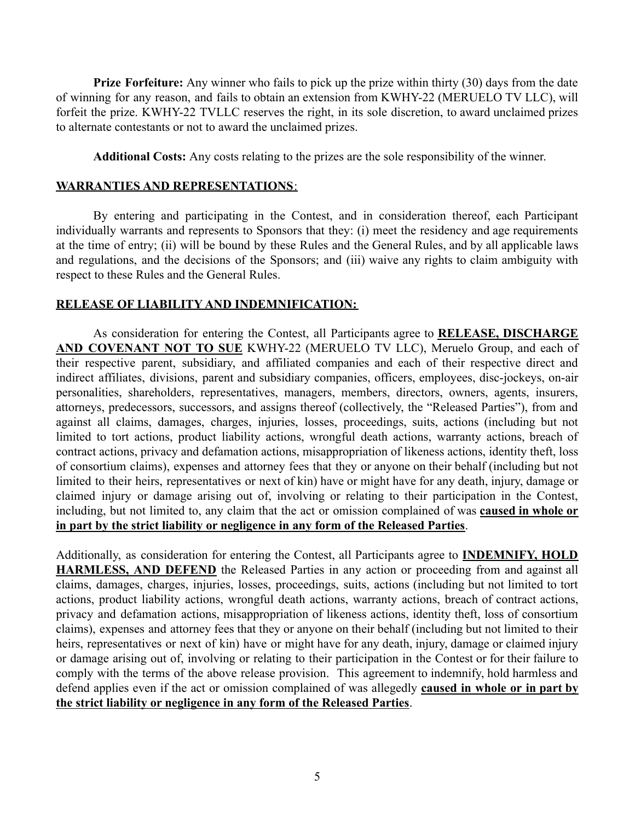**Prize Forfeiture:** Any winner who fails to pick up the prize within thirty (30) days from the date of winning for any reason, and fails to obtain an extension from KWHY-22 (MERUELO TV LLC), will forfeit the prize. KWHY-22 TVLLC reserves the right, in its sole discretion, to award unclaimed prizes to alternate contestants or not to award the unclaimed prizes.

**Additional Costs:** Any costs relating to the prizes are the sole responsibility of the winner.

# **WARRANTIES AND REPRESENTATIONS**:

By entering and participating in the Contest, and in consideration thereof, each Participant individually warrants and represents to Sponsors that they: (i) meet the residency and age requirements at the time of entry; (ii) will be bound by these Rules and the General Rules, and by all applicable laws and regulations, and the decisions of the Sponsors; and (iii) waive any rights to claim ambiguity with respect to these Rules and the General Rules.

# **RELEASE OF LIABILITY AND INDEMNIFICATION:**

As consideration for entering the Contest, all Participants agree to **RELEASE, DISCHARGE AND COVENANT NOT TO SUE** KWHY-22 (MERUELO TV LLC), Meruelo Group, and each of their respective parent, subsidiary, and affiliated companies and each of their respective direct and indirect affiliates, divisions, parent and subsidiary companies, officers, employees, disc-jockeys, on-air personalities, shareholders, representatives, managers, members, directors, owners, agents, insurers, attorneys, predecessors, successors, and assigns thereof (collectively, the "Released Parties"), from and against all claims, damages, charges, injuries, losses, proceedings, suits, actions (including but not limited to tort actions, product liability actions, wrongful death actions, warranty actions, breach of contract actions, privacy and defamation actions, misappropriation of likeness actions, identity theft, loss of consortium claims), expenses and attorney fees that they or anyone on their behalf (including but not limited to their heirs, representatives or next of kin) have or might have for any death, injury, damage or claimed injury or damage arising out of, involving or relating to their participation in the Contest, including, but not limited to, any claim that the act or omission complained of was **caused in whole or in part by the strict liability or negligence in any form of the Released Parties**.

Additionally, as consideration for entering the Contest, all Participants agree to **INDEMNIFY, HOLD HARMLESS, AND DEFEND** the Released Parties in any action or proceeding from and against all claims, damages, charges, injuries, losses, proceedings, suits, actions (including but not limited to tort actions, product liability actions, wrongful death actions, warranty actions, breach of contract actions, privacy and defamation actions, misappropriation of likeness actions, identity theft, loss of consortium claims), expenses and attorney fees that they or anyone on their behalf (including but not limited to their heirs, representatives or next of kin) have or might have for any death, injury, damage or claimed injury or damage arising out of, involving or relating to their participation in the Contest or for their failure to comply with the terms of the above release provision. This agreement to indemnify, hold harmless and defend applies even if the act or omission complained of was allegedly **caused in whole or in part by the strict liability or negligence in any form of the Released Parties**.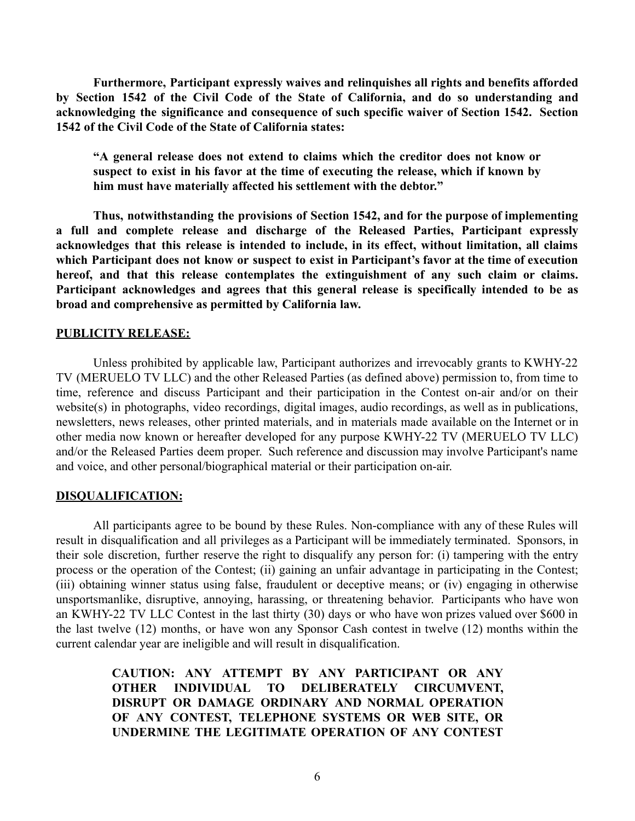**Furthermore, Participant expressly waives and relinquishes all rights and benefits afforded by Section 1542 of the Civil Code of the State of California, and do so understanding and acknowledging the significance and consequence of such specific waiver of Section 1542. Section 1542 of the Civil Code of the State of California states:**

**"A general release does not extend to claims which the creditor does not know or suspect to exist in his favor at the time of executing the release, which if known by him must have materially affected his settlement with the debtor."**

**Thus, notwithstanding the provisions of Section 1542, and for the purpose of implementing a full and complete release and discharge of the Released Parties, Participant expressly acknowledges that this release is intended to include, in its effect, without limitation, all claims which Participant does not know or suspect to exist in Participant's favor at the time of execution hereof, and that this release contemplates the extinguishment of any such claim or claims. Participant acknowledges and agrees that this general release is specifically intended to be as broad and comprehensive as permitted by California law.**

## **PUBLICITY RELEASE:**

Unless prohibited by applicable law, Participant authorizes and irrevocably grants to KWHY-22 TV (MERUELO TV LLC) and the other Released Parties (as defined above) permission to, from time to time, reference and discuss Participant and their participation in the Contest on-air and/or on their website(s) in photographs, video recordings, digital images, audio recordings, as well as in publications, newsletters, news releases, other printed materials, and in materials made available on the Internet or in other media now known or hereafter developed for any purpose KWHY-22 TV (MERUELO TV LLC) and/or the Released Parties deem proper. Such reference and discussion may involve Participant's name and voice, and other personal/biographical material or their participation on-air.

### **DISQUALIFICATION:**

All participants agree to be bound by these Rules. Non-compliance with any of these Rules will result in disqualification and all privileges as a Participant will be immediately terminated. Sponsors, in their sole discretion, further reserve the right to disqualify any person for: (i) tampering with the entry process or the operation of the Contest; (ii) gaining an unfair advantage in participating in the Contest; (iii) obtaining winner status using false, fraudulent or deceptive means; or (iv) engaging in otherwise unsportsmanlike, disruptive, annoying, harassing, or threatening behavior. Participants who have won an KWHY-22 TV LLC Contest in the last thirty (30) days or who have won prizes valued over \$600 in the last twelve (12) months, or have won any Sponsor Cash contest in twelve (12) months within the current calendar year are ineligible and will result in disqualification.

> **CAUTION: ANY ATTEMPT BY ANY PARTICIPANT OR ANY OTHER INDIVIDUAL TO DELIBERATELY CIRCUMVENT, DISRUPT OR DAMAGE ORDINARY AND NORMAL OPERATION OF ANY CONTEST, TELEPHONE SYSTEMS OR WEB SITE, OR UNDERMINE THE LEGITIMATE OPERATION OF ANY CONTEST**